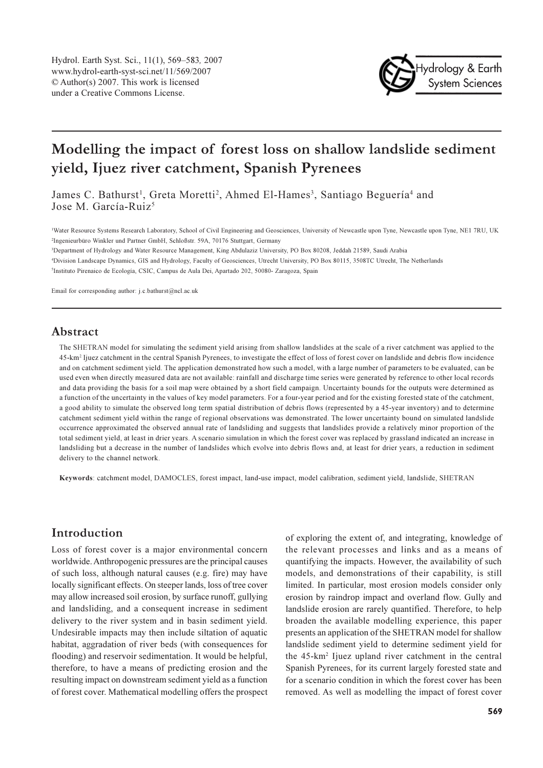

# Modelling the impact of forest loss on shallow landslide sediment vield, Ijuez river catchment, Spanish Pyrenees

James C. Bathurst<sup>1</sup>, Greta Moretti<sup>2</sup>, Ahmed El-Hames<sup>3</sup>, Santiago Beguería<sup>4</sup> and Jose M. García-Ruiz<sup>5</sup>

<sup>1</sup>Water Resource Systems Research Laboratory, School of Civil Engineering and Geosciences, University of Newcastle upon Tyne, Newcastle upon Tyne, NEV 7RU, UK <sup>2</sup>Ingenieurbüro Winkler und Partner GmbH, Schloßstr. 59A, 70176 Stuttgart, Germany

<sup>3</sup>Department of Hydrology and Water Resource Management, King Abdulaziz University, PO Box 80208, Jeddah 21589, Saudi Arabia

<sup>4</sup>Division Landscape Dynamics, GIS and Hydrology, Faculty of Geosciences, Utrecht University, PO Box 80115, 3508TC Utrecht, The Netherlands

<sup>5</sup>Instituto Pirenaico de Ecología, CSIC, Campus de Aula Dei, Apartado 202, 50080- Zaragoza, Spain

Email for corresponding author: j.c.bathurst@ncl.ac.uk

### Abstract

The SHETRAN model for simulating the sediment yield arising from shallow landslides at the scale of a river catchment was applied to the 45-km<sup>2</sup> Ijuez catchment in the central Spanish Pyrenees, to investigate the effect of loss of forest cover on landslide and debris flow incidence and on catchment sediment yield. The application demonstrated how such a model, with a large number of parameters to be evaluated, can be used even when directly measured data are not available: rainfall and discharge time series were generated by reference to other local records and data providing the basis for a soil map were obtained by a short field campaign. Uncertainty bounds for the outputs were determined as a function of the uncertainty in the values of key model parameters. For a four-year period and for the existing forested state of the catchment. a good ability to simulate the observed long term spatial distribution of debris flows (represented by a 45-year inventory) and to determine catchment sediment yield within the range of regional observations was demonstrated. The lower uncertainty bound on simulated landslide occurrence approximated the observed annual rate of landsliding and suggests that landslides provide a relatively minor proportion of the total sediment yield, at least in drier years. A scenario simulation in which the forest cover was replaced by grassland indicated an increase in landsliding but a decrease in the number of landslides which evolve into debris flows and, at least for drier years, a reduction in sediment delivery to the channel network

Keywords: catchment model, DAMOCLES, forest impact, land-use impact, model calibration, sediment yield, landslide, SHETRAN

# Introduction

Loss of forest cover is a major environmental concern worldwide. Anthropogenic pressures are the principal causes of such loss, although natural causes (e.g. fire) may have locally significant effects. On steeper lands, loss of tree cover may allow increased soil erosion, by surface runoff, gullying and landsliding, and a consequent increase in sediment delivery to the river system and in basin sediment yield. Undesirable impacts may then include siltation of aquatic habitat, aggradation of river beds (with consequences for flooding) and reservoir sedimentation. It would be helpful, therefore, to have a means of predicting erosion and the resulting impact on downstream sediment yield as a function of forest cover. Mathematical modelling offers the prospect of exploring the extent of, and integrating, knowledge of the relevant processes and links and as a means of quantifying the impacts. However, the availability of such models, and demonstrations of their capability, is still limited. In particular, most erosion models consider only erosion by raindrop impact and overland flow. Gully and landslide erosion are rarely quantified. Therefore, to help broaden the available modelling experience, this paper presents an application of the SHETRAN model for shallow landslide sediment yield to determine sediment yield for the 45-km<sup>2</sup> Ijuez upland river catchment in the central Spanish Pyrenees, for its current largely forested state and for a scenario condition in which the forest cover has been removed. As well as modelling the impact of forest cover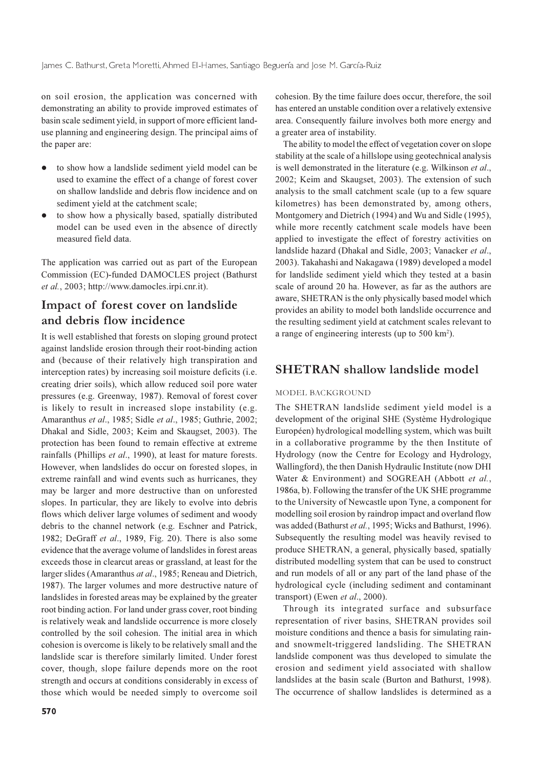on soil erosion, the application was concerned with demonstrating an ability to provide improved estimates of basin scale sediment yield, in support of more efficient landuse planning and engineering design. The principal aims of the paper are:

- to show how a landslide sediment yield model can be  $\bullet$ used to examine the effect of a change of forest cover on shallow landslide and debris flow incidence and on sediment yield at the catchment scale;
- to show how a physically based, spatially distributed model can be used even in the absence of directly measured field data

The application was carried out as part of the European Commission (EC)-funded DAMOCLES project (Bathurst et al., 2003; http://www.damocles.irpi.cnr.it).

# Impact of forest cover on landslide and debris flow incidence

It is well established that forests on sloping ground protect against landslide erosion through their root-binding action and (because of their relatively high transpiration and interception rates) by increasing soil moisture deficits (i.e. creating drier soils), which allow reduced soil pore water pressures (e.g. Greenway, 1987). Removal of forest cover is likely to result in increased slope instability (e.g. Amaranthus et al., 1985; Sidle et al., 1985; Guthrie, 2002; Dhakal and Sidle, 2003; Keim and Skaugset, 2003). The protection has been found to remain effective at extreme rainfalls (Phillips et al., 1990), at least for mature forests. However, when landslides do occur on forested slopes, in extreme rainfall and wind events such as hurricanes, they may be larger and more destructive than on unforested slopes. In particular, they are likely to evolve into debris flows which deliver large volumes of sediment and woody debris to the channel network (e.g. Eschner and Patrick, 1982; DeGraff et al., 1989, Fig. 20). There is also some evidence that the average volume of landslides in forest areas exceeds those in clearcut areas or grassland, at least for the larger slides (Amaranthus at al., 1985; Reneau and Dietrich, 1987). The larger volumes and more destructive nature of landslides in forested areas may be explained by the greater root binding action. For land under grass cover, root binding is relatively weak and landslide occurrence is more closely controlled by the soil cohesion. The initial area in which cohesion is overcome is likely to be relatively small and the landslide scar is therefore similarly limited. Under forest cover, though, slope failure depends more on the root strength and occurs at conditions considerably in excess of those which would be needed simply to overcome soil

cohesion. By the time failure does occur, therefore, the soil has entered an unstable condition over a relatively extensive area. Consequently failure involves both more energy and a greater area of instability.

The ability to model the effect of vegetation cover on slope stability at the scale of a hillslope using geotechnical analysis is well demonstrated in the literature (e.g. Wilkinson et al., 2002; Keim and Skaugset, 2003). The extension of such analysis to the small catchment scale (up to a few square kilometres) has been demonstrated by, among others, Montgomery and Dietrich (1994) and Wu and Sidle (1995), while more recently catchment scale models have been applied to investigate the effect of forestry activities on landslide hazard (Dhakal and Sidle, 2003; Vanacker et al., 2003). Takahashi and Nakagawa (1989) developed a model for landslide sediment yield which they tested at a basin scale of around 20 ha. However, as far as the authors are aware, SHETRAN is the only physically based model which provides an ability to model both landslide occurrence and the resulting sediment yield at catchment scales relevant to a range of engineering interests (up to 500 km<sup>2</sup>).

# **SHETRAN** shallow landslide model

### MODEL BACKGROUND

The SHETRAN landslide sediment yield model is a development of the original SHE (Système Hydrologique Européen) hydrological modelling system, which was built in a collaborative programme by the then Institute of Hydrology (now the Centre for Ecology and Hydrology, Wallingford), the then Danish Hydraulic Institute (now DHI Water & Environment) and SOGREAH (Abbott et al., 1986a, b). Following the transfer of the UK SHE programme to the University of Newcastle upon Tyne, a component for modelling soil erosion by raindrop impact and overland flow was added (Bathurst et al., 1995; Wicks and Bathurst, 1996). Subsequently the resulting model was heavily revised to produce SHETRAN, a general, physically based, spatially distributed modelling system that can be used to construct and run models of all or any part of the land phase of the hydrological cycle (including sediment and contaminant transport) (Ewen et al., 2000).

Through its integrated surface and subsurface representation of river basins, SHETRAN provides soil moisture conditions and thence a basis for simulating rainand snowmelt-triggered landsliding. The SHETRAN landslide component was thus developed to simulate the erosion and sediment yield associated with shallow landslides at the basin scale (Burton and Bathurst, 1998). The occurrence of shallow landslides is determined as a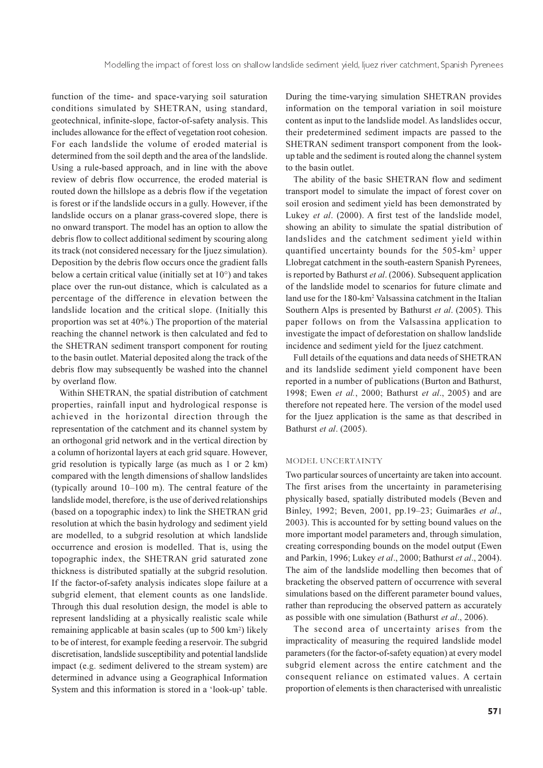function of the time- and space-varying soil saturation conditions simulated by SHETRAN, using standard, geotechnical, infinite-slope, factor-of-safety analysis. This includes allowance for the effect of vegetation root cohesion. For each landslide the volume of eroded material is determined from the soil depth and the area of the landslide. Using a rule-based approach, and in line with the above review of debris flow occurrence, the eroded material is routed down the hillslope as a debris flow if the vegetation is forest or if the landslide occurs in a gully. However, if the landslide occurs on a planar grass-covered slope, there is no onward transport. The model has an option to allow the debris flow to collect additional sediment by scouring along its track (not considered necessary for the Ijuez simulation). Deposition by the debris flow occurs once the gradient falls below a certain critical value (initially set at 10°) and takes place over the run-out distance, which is calculated as a percentage of the difference in elevation between the landslide location and the critical slope. (Initially this proportion was set at 40%.) The proportion of the material reaching the channel network is then calculated and fed to the SHETRAN sediment transport component for routing to the basin outlet. Material deposited along the track of the debris flow may subsequently be washed into the channel by overland flow.

Within SHETRAN, the spatial distribution of catchment properties, rainfall input and hydrological response is achieved in the horizontal direction through the representation of the catchment and its channel system by an orthogonal grid network and in the vertical direction by a column of horizontal layers at each grid square. However, grid resolution is typically large (as much as 1 or 2 km) compared with the length dimensions of shallow landslides (typically around  $10-100$  m). The central feature of the landslide model, therefore, is the use of derived relationships (based on a topographic index) to link the SHETRAN grid resolution at which the basin hydrology and sediment yield are modelled, to a subgrid resolution at which landslide occurrence and erosion is modelled. That is, using the topographic index, the SHETRAN grid saturated zone thickness is distributed spatially at the subgrid resolution. If the factor-of-safety analysis indicates slope failure at a subgrid element, that element counts as one landslide. Through this dual resolution design, the model is able to represent landsliding at a physically realistic scale while remaining applicable at basin scales (up to 500 km<sup>2</sup>) likely to be of interest, for example feeding a reservoir. The subgrid discretisation, landslide susceptibility and potential landslide impact (e.g. sediment delivered to the stream system) are determined in advance using a Geographical Information System and this information is stored in a 'look-up' table.

During the time-varying simulation SHETRAN provides information on the temporal variation in soil moisture content as input to the landslide model. As landslides occur. their predetermined sediment impacts are passed to the SHETRAN sediment transport component from the lookup table and the sediment is routed along the channel system to the basin outlet.

The ability of the basic SHETRAN flow and sediment transport model to simulate the impact of forest cover on soil erosion and sediment yield has been demonstrated by Lukey et al. (2000). A first test of the landslide model, showing an ability to simulate the spatial distribution of landslides and the catchment sediment yield within quantified uncertainty bounds for the 505-km<sup>2</sup> upper Llobregat catchment in the south-eastern Spanish Pyrenees, is reported by Bathurst et al. (2006). Subsequent application of the landslide model to scenarios for future climate and land use for the 180-km<sup>2</sup> Valsassina catchment in the Italian Southern Alps is presented by Bathurst et al. (2005). This paper follows on from the Valsassina application to investigate the impact of deforestation on shallow landslide incidence and sediment yield for the Ijuez catchment.

Full details of the equations and data needs of SHETRAN and its landslide sediment yield component have been reported in a number of publications (Burton and Bathurst, 1998; Ewen et al., 2000; Bathurst et al., 2005) and are therefore not repeated here. The version of the model used for the Ijuez application is the same as that described in Bathurst et al. (2005).

#### MODEL UNCERTAINTY

Two particular sources of uncertainty are taken into account. The first arises from the uncertainty in parameterising physically based, spatially distributed models (Beven and Binley, 1992; Beven, 2001, pp.19–23; Guimarães et al., 2003). This is accounted for by setting bound values on the more important model parameters and, through simulation, creating corresponding bounds on the model output (Ewen and Parkin, 1996; Lukey et al., 2000; Bathurst et al., 2004). The aim of the landslide modelling then becomes that of bracketing the observed pattern of occurrence with several simulations based on the different parameter bound values, rather than reproducing the observed pattern as accurately as possible with one simulation (Bathurst et al., 2006).

The second area of uncertainty arises from the impracticality of measuring the required landslide model parameters (for the factor-of-safety equation) at every model subgrid element across the entire catchment and the consequent reliance on estimated values. A certain proportion of elements is then characterised with unrealistic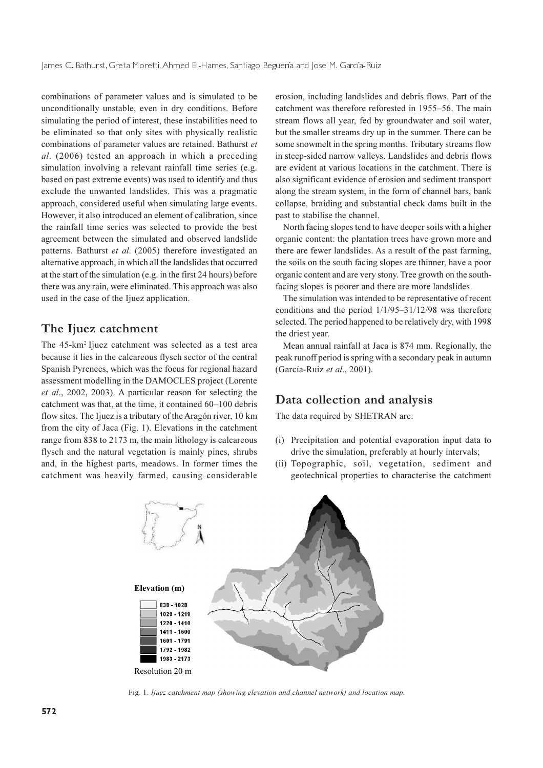combinations of parameter values and is simulated to be unconditionally unstable, even in dry conditions. Before simulating the period of interest, these instabilities need to be eliminated so that only sites with physically realistic combinations of parameter values are retained. Bathurst et al. (2006) tested an approach in which a preceding simulation involving a relevant rainfall time series (e.g. based on past extreme events) was used to identify and thus exclude the unwanted landslides. This was a pragmatic approach, considered useful when simulating large events. However, it also introduced an element of calibration, since the rainfall time series was selected to provide the best agreement between the simulated and observed landslide patterns. Bathurst et al. (2005) therefore investigated an alternative approach, in which all the landslides that occurred at the start of the simulation (e.g. in the first 24 hours) before there was any rain, were eliminated. This approach was also used in the case of the Ijuez application.

# The Ijuez catchment

The 45-km<sup>2</sup> Ijuez catchment was selected as a test area because it lies in the calcareous flysch sector of the central Spanish Pyrenees, which was the focus for regional hazard assessment modelling in the DAMOCLES project (Lorente et al., 2002, 2003). A particular reason for selecting the catchment was that, at the time, it contained 60-100 debris flow sites. The Ijuez is a tributary of the Aragón river, 10 km from the city of Jaca (Fig. 1). Elevations in the catchment range from 838 to 2173 m, the main lithology is calcareous flysch and the natural vegetation is mainly pines, shrubs and, in the highest parts, meadows. In former times the catchment was heavily farmed, causing considerable

erosion, including landslides and debris flows. Part of the catchment was therefore reforested in 1955–56. The main stream flows all year, fed by groundwater and soil water. but the smaller streams dry up in the summer. There can be some snowmelt in the spring months. Tributary streams flow in steep-sided narrow valleys. Landslides and debris flows are evident at various locations in the catchment. There is also significant evidence of erosion and sediment transport along the stream system, in the form of channel bars, bank collapse, braiding and substantial check dams built in the past to stabilise the channel.

North facing slopes tend to have deeper soils with a higher organic content: the plantation trees have grown more and there are fewer landslides. As a result of the past farming, the soils on the south facing slopes are thinner, have a poor organic content and are very stony. Tree growth on the southfacing slopes is poorer and there are more landslides.

The simulation was intended to be representative of recent conditions and the period  $1/1/95-31/12/98$  was therefore selected. The period happened to be relatively dry, with 1998 the driest year.

Mean annual rainfall at Jaca is 874 mm. Regionally, the peak runoff period is spring with a secondary peak in autumn (García-Ruiz et al., 2001).

# Data collection and analysis

The data required by SHETRAN are:

- (i) Precipitation and potential evaporation input data to drive the simulation, preferably at hourly intervals;
- (ii) Topographic, soil, vegetation, sediment and geotechnical properties to characterise the catchment



Fig. 1. Ijuez catchment map (showing elevation and channel network) and location map.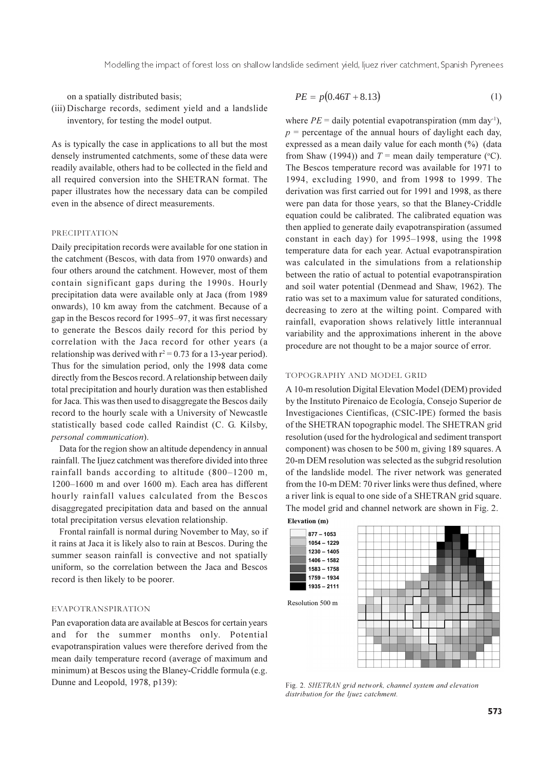on a spatially distributed basis;

(iii) Discharge records, sediment yield and a landslide inventory, for testing the model output.

As is typically the case in applications to all but the most densely instrumented catchments, some of these data were readily available, others had to be collected in the field and all required conversion into the SHETRAN format. The paper illustrates how the necessary data can be compiled even in the absence of direct measurements.

### PRECIPITATION

Daily precipitation records were available for one station in the catchment (Bescos, with data from 1970 onwards) and four others around the catchment. However, most of them contain significant gaps during the 1990s. Hourly precipitation data were available only at Jaca (from 1989 onwards), 10 km away from the catchment. Because of a gap in the Bescos record for 1995–97, it was first necessary to generate the Bescos daily record for this period by correlation with the Jaca record for other years (a relationship was derived with  $r^2 = 0.73$  for a 13-year period). Thus for the simulation period, only the 1998 data come directly from the Bescos record. A relationship between daily total precipitation and hourly duration was then established for Jaca. This was then used to disaggregate the Bescos daily record to the hourly scale with a University of Newcastle statistically based code called Raindist (C. G. Kilsby, personal communication).

Data for the region show an altitude dependency in annual rainfall. The Ijuez catchment was therefore divided into three rainfall bands according to altitude (800-1200 m, 1200-1600 m and over 1600 m). Each area has different hourly rainfall values calculated from the Bescos disaggregated precipitation data and based on the annual total precipitation versus elevation relationship.

Frontal rainfall is normal during November to May, so if it rains at Jaca it is likely also to rain at Bescos. During the summer season rainfall is convective and not spatially uniform, so the correlation between the Jaca and Bescos record is then likely to be poorer.

### **EVAPOTRANSPIRATION**

Pan evaporation data are available at Bescos for certain years and for the summer months only. Potential evapotranspiration values were therefore derived from the mean daily temperature record (average of maximum and minimum) at Bescos using the Blaney-Criddle formula (e.g. Dunne and Leopold, 1978, p139):

$$
PE = p(0.46T + 8.13) \tag{1}
$$

where  $PE =$  daily potential evapotranspiration (mm day<sup>1</sup>).  $p$  = percentage of the annual hours of daylight each day, expressed as a mean daily value for each month (%) (data from Shaw (1994)) and  $T =$  mean daily temperature (°C). The Bescos temperature record was available for 1971 to 1994, excluding 1990, and from 1998 to 1999. The derivation was first carried out for 1991 and 1998, as there were pan data for those years, so that the Blaney-Criddle equation could be calibrated. The calibrated equation was then applied to generate daily evapotranspiration (assumed constant in each day) for 1995–1998, using the 1998 temperature data for each year. Actual evapotranspiration was calculated in the simulations from a relationship between the ratio of actual to potential evapotranspiration and soil water potential (Denmead and Shaw, 1962). The ratio was set to a maximum value for saturated conditions, decreasing to zero at the wilting point. Compared with rainfall, evaporation shows relatively little interannual variability and the approximations inherent in the above procedure are not thought to be a major source of error.

#### TOPOGRAPHY AND MODEL GRID

A 10-m resolution Digital Elevation Model (DEM) provided by the Instituto Pirenaico de Ecología, Consejo Superior de Investigaciones Cientificas, (CSIC-IPE) formed the basis of the SHETRAN topographic model. The SHETRAN grid resolution (used for the hydrological and sediment transport component) was chosen to be 500 m, giving 189 squares. A 20-m DEM resolution was selected as the subgrid resolution of the landslide model. The river network was generated from the 10-m DEM: 70 river links were thus defined, where a river link is equal to one side of a SHETRAN grid square. The model grid and channel network are shown in Fig. 2.



Resolution 500 m



Fig. 2. SHETRAN grid network, channel system and elevation distribution for the Ijuez catchment.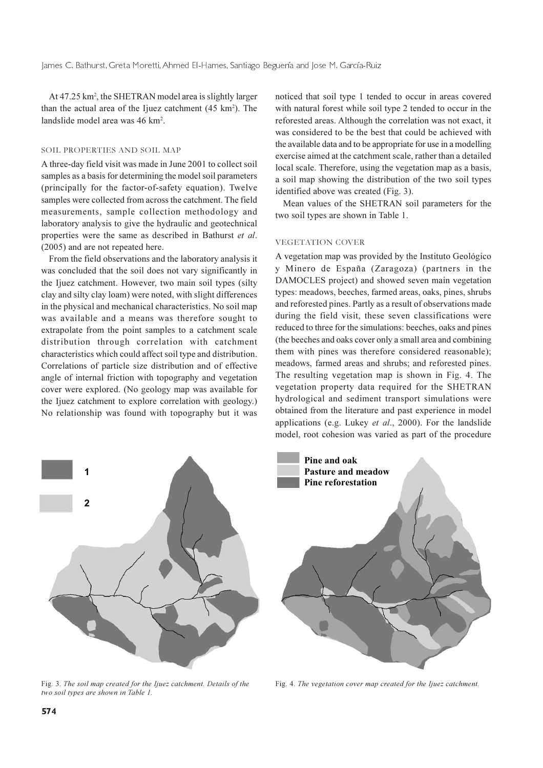At 47.25 km<sup>2</sup>, the SHETRAN model area is slightly larger than the actual area of the Ijuez catchment (45 km<sup>2</sup>). The landslide model area was 46 km<sup>2</sup>.

### SOIL PROPERTIES AND SOIL MAP

A three-day field visit was made in June 2001 to collect soil samples as a basis for determining the model soil parameters (principally for the factor-of-safety equation). Twelve samples were collected from across the catchment. The field measurements, sample collection methodology and laboratory analysis to give the hydraulic and geotechnical properties were the same as described in Bathurst et al. (2005) and are not repeated here.

From the field observations and the laboratory analysis it was concluded that the soil does not vary significantly in the Ijuez catchment. However, two main soil types (silty clay and silty clay loam) were noted, with slight differences in the physical and mechanical characteristics. No soil map was available and a means was therefore sought to extrapolate from the point samples to a catchment scale distribution through correlation with catchment characteristics which could affect soil type and distribution. Correlations of particle size distribution and of effective angle of internal friction with topography and vegetation cover were explored. (No geology map was available for the Ijuez catchment to explore correlation with geology.) No relationship was found with topography but it was

noticed that soil type 1 tended to occur in areas covered with natural forest while soil type 2 tended to occur in the reforested areas. Although the correlation was not exact, it was considered to be the best that could be achieved with the available data and to be appropriate for use in a modelling exercise aimed at the catchment scale, rather than a detailed local scale. Therefore, using the vegetation map as a basis, a soil map showing the distribution of the two soil types identified above was created (Fig. 3).

Mean values of the SHETRAN soil parameters for the two soil types are shown in Table 1.

#### VEGETATION COVER

A vegetation map was provided by the Instituto Geológico y Minero de España (Zaragoza) (partners in the DAMOCLES project) and showed seven main vegetation types: meadows, beeches, farmed areas, oaks, pines, shrubs and reforested pines. Partly as a result of observations made during the field visit, these seven classifications were reduced to three for the simulations: beeches, oaks and pines (the beeches and oaks cover only a small area and combining them with pines was therefore considered reasonable); meadows, farmed areas and shrubs; and reforested pines. The resulting vegetation map is shown in Fig. 4. The vegetation property data required for the SHETRAN hydrological and sediment transport simulations were obtained from the literature and past experience in model applications (e.g. Lukey et al., 2000). For the landslide model, root cohesion was varied as part of the procedure



Fig. 3. The soil map created for the Ijuez catchment. Details of the two soil types are shown in Table 1.



Fig. 4. The vegetation cover map created for the Ijuez catchment.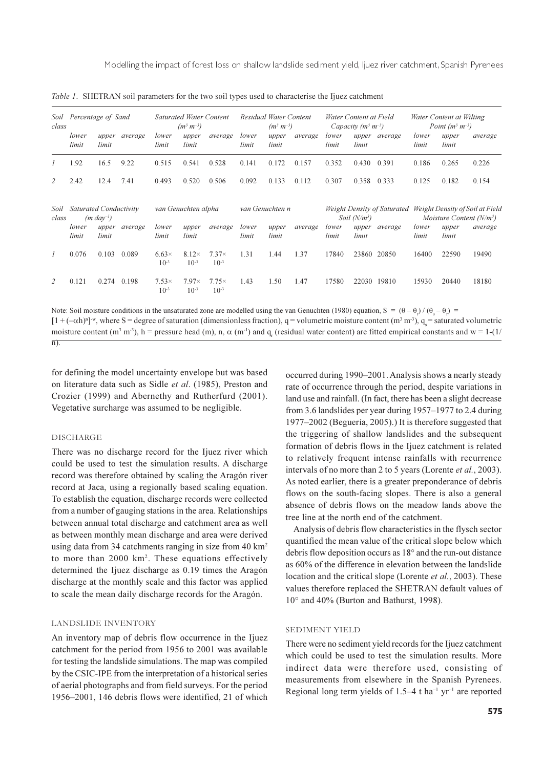| Soil<br>class | Percentage of Sand                                        |                | Saturated Water Content<br>$(m^3 m^{-3})$ |                           |                           | Residual Water Content<br>$(m^3 m^{-3})$ |                | Water Content at Field<br>Capacity $(m^3 m^{-3})$ |         | Water Content at Wilting<br>Point $(m^3 m^{-3})$              |                |               |                |                |         |
|---------------|-----------------------------------------------------------|----------------|-------------------------------------------|---------------------------|---------------------------|------------------------------------------|----------------|---------------------------------------------------|---------|---------------------------------------------------------------|----------------|---------------|----------------|----------------|---------|
|               | lower<br>limit                                            | upper<br>limit | average                                   | lower<br>limit            | upper<br>limit            | average                                  | lower<br>limit | upper<br>limit                                    | average | lower<br>limit                                                | limit          | upper average | lower<br>limit | upper<br>limit | average |
| $\mathcal{I}$ | 1.92                                                      | 16.5           | 9.22                                      | 0.515                     | 0.541                     | 0.528                                    | 0.141          | 0.172                                             | 0.157   | 0.352                                                         | 0.430          | 0.391         | 0.186          | 0.265          | 0.226   |
| 2             | 2.42                                                      | 12.4           | 7.41                                      | 0.493                     | 0.520                     | 0.506                                    | 0.092          | 0.133                                             | 0.112   | 0.307                                                         | 0.358 0.333    |               | 0.125          | 0.182          | 0.154   |
| Soil<br>class | Saturated Conductivity<br>$(m \, \text{d} \alpha v^{-1})$ |                | van Genuchten alpha                       |                           |                           | van Genuchten n                          |                | Weight Density of Saturated<br>Soil $(N/m^3)$     |         | Weight Density of Soil at Field<br>Moisture Content $(N/m^3)$ |                |               |                |                |         |
|               | lower<br>limit                                            | upper<br>limit | average                                   | lower<br>limit            | upper<br>limit            | average                                  | lower<br>limit | upper<br>limit                                    | average | lower<br>limit                                                | upper<br>limit | average       | lower<br>limit | upper<br>limit | average |
| $\mathcal{I}$ | 0.076                                                     | 0.103          | 0.089                                     | $6.63\times$<br>$10^{-3}$ | $8.12\times$<br>$10^{-3}$ | $7.37\times$<br>$10^{-3}$                | 1.31           | 1.44                                              | 1.37    | 17840                                                         |                | 23860 20850   | 16400          | 22590          | 19490   |
|               | 0.121                                                     | 0.274          | 0.198                                     | $7.53\times$<br>$10^{-3}$ | $7.97\times$<br>$10^{-3}$ | $7.75\times$<br>$10^{-3}$                | 1.43           | 1.50                                              | 1.47    | 17580                                                         | 22030          | 19810         | 15930          | 20440          | 18180   |

Table 1. SHETRAN soil parameters for the two soil types used to characterise the Ijuez catchment

Note: Soil moisture conditions in the unsaturated zone are modelled using the van Genuchten (1980) equation,  $S = (\theta - \theta) / (\theta_s - \theta_r)$  $[1 + (-\alpha h)^n]$ <sup>w</sup>, where S = degree of saturation (dimensionless fraction), q = volumetric moisture content (m<sup>3</sup> m<sup>-3</sup>), q<sub>n</sub> = saturated volumetric moisture content (m<sup>3</sup> m<sup>-3</sup>), h = pressure head (m), n,  $\alpha$  (m<sup>-1</sup>) and q<sub>r</sub> (residual water content) are fitted empirical constants and w = 1-(1/  $\overline{n}$ ).

for defining the model uncertainty envelope but was based on literature data such as Sidle et al. (1985), Preston and Crozier (1999) and Abernethy and Rutherfurd (2001). Vegetative surcharge was assumed to be negligible.

#### DISCHARGE

There was no discharge record for the Ijuez river which could be used to test the simulation results. A discharge record was therefore obtained by scaling the Aragón river record at Jaca, using a regionally based scaling equation. To establish the equation, discharge records were collected from a number of gauging stations in the area. Relationships between annual total discharge and catchment area as well as between monthly mean discharge and area were derived using data from 34 catchments ranging in size from 40 km<sup>2</sup> to more than 2000 km<sup>2</sup>. These equations effectively determined the Ijuez discharge as 0.19 times the Aragón discharge at the monthly scale and this factor was applied to scale the mean daily discharge records for the Aragón.

### LANDSLIDE INVENTORY

An inventory map of debris flow occurrence in the Ijuez catchment for the period from 1956 to 2001 was available for testing the landslide simulations. The map was compiled by the CSIC-IPE from the interpretation of a historical series of aerial photographs and from field surveys. For the period 1956–2001, 146 debris flows were identified, 21 of which occurred during 1990–2001. Analysis shows a nearly steady rate of occurrence through the period, despite variations in land use and rainfall. (In fact, there has been a slight decrease from 3.6 landslides per year during 1957–1977 to 2.4 during 1977-2002 (Beguería, 2005).) It is therefore suggested that the triggering of shallow landslides and the subsequent formation of debris flows in the Ijuez catchment is related to relatively frequent intense rainfalls with recurrence intervals of no more than 2 to 5 years (Lorente et al., 2003). As noted earlier, there is a greater preponderance of debris flows on the south-facing slopes. There is also a general absence of debris flows on the meadow lands above the tree line at the north end of the catchment.

Analysis of debris flow characteristics in the flysch sector quantified the mean value of the critical slope below which debris flow deposition occurs as 18° and the run-out distance as 60% of the difference in elevation between the landslide location and the critical slope (Lorente et al., 2003). These values therefore replaced the SHETRAN default values of 10° and 40% (Burton and Bathurst, 1998).

#### **SEDIMENT YIELD**

There were no sediment yield records for the Ijuez catchment which could be used to test the simulation results. More indirect data were therefore used, consisting of measurements from elsewhere in the Spanish Pyrenees. Regional long term yields of  $1.5-4$  t ha<sup>-1</sup> yr<sup>-1</sup> are reported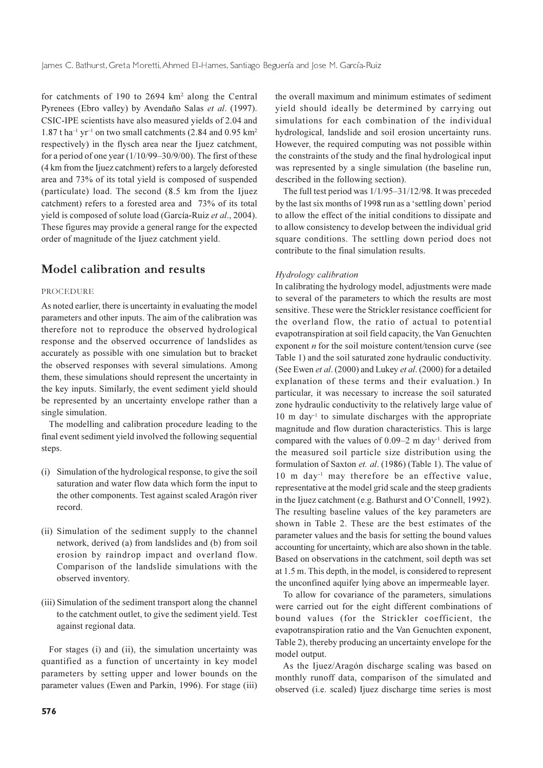for catchments of 190 to 2694 km<sup>2</sup> along the Central Pyrenees (Ebro valley) by Avendaño Salas et al. (1997). CSIC-IPE scientists have also measured yields of 2.04 and  $1.87$  t ha<sup>-1</sup> yr<sup>-1</sup> on two small catchments (2.84 and 0.95 km<sup>2</sup>) respectively) in the flysch area near the Ijuez catchment, for a period of one year  $(1/10/99-30/9/00)$ . The first of these (4 km from the Ijuez catchment) refers to a largely deforested area and 73% of its total yield is composed of suspended (particulate) load. The second (8.5 km from the Ijuez catchment) refers to a forested area and 73% of its total vield is composed of solute load (García-Ruiz et al., 2004). These figures may provide a general range for the expected order of magnitude of the Ijuez catchment yield.

# Model calibration and results

### PROCEDURE

As noted earlier, there is uncertainty in evaluating the model parameters and other inputs. The aim of the calibration was therefore not to reproduce the observed hydrological response and the observed occurrence of landslides as accurately as possible with one simulation but to bracket the observed responses with several simulations. Among them, these simulations should represent the uncertainty in the key inputs. Similarly, the event sediment yield should be represented by an uncertainty envelope rather than a single simulation.

The modelling and calibration procedure leading to the final event sediment yield involved the following sequential steps.

- (i) Simulation of the hydrological response, to give the soil saturation and water flow data which form the input to the other components. Test against scaled Aragón river record.
- (ii) Simulation of the sediment supply to the channel network, derived (a) from landslides and (b) from soil erosion by raindrop impact and overland flow. Comparison of the landslide simulations with the observed inventory.
- (iii) Simulation of the sediment transport along the channel to the catchment outlet, to give the sediment yield. Test against regional data.

For stages (i) and (ii), the simulation uncertainty was quantified as a function of uncertainty in key model parameters by setting upper and lower bounds on the parameter values (Ewen and Parkin, 1996). For stage (iii) the overall maximum and minimum estimates of sediment yield should ideally be determined by carrying out simulations for each combination of the individual hydrological, landslide and soil erosion uncertainty runs. However, the required computing was not possible within the constraints of the study and the final hydrological input was represented by a single simulation (the baseline run, described in the following section).

The full test period was  $1/1/95-31/12/98$ . It was preceded by the last six months of 1998 run as a 'settling down' period to allow the effect of the initial conditions to dissipate and to allow consistency to develop between the individual grid square conditions. The settling down period does not contribute to the final simulation results.

### Hydrology calibration

In calibrating the hydrology model, adjustments were made to several of the parameters to which the results are most sensitive. These were the Strickler resistance coefficient for the overland flow, the ratio of actual to potential evapotranspiration at soil field capacity, the Van Genuchten exponent  $n$  for the soil moisture content/tension curve (see Table 1) and the soil saturated zone hydraulic conductivity. (See Ewen et al. (2000) and Lukey et al. (2000) for a detailed explanation of these terms and their evaluation.) In particular, it was necessary to increase the soil saturated zone hydraulic conductivity to the relatively large value of  $10 \text{ m day}$ <sup>1</sup> to simulate discharges with the appropriate magnitude and flow duration characteristics. This is large compared with the values of 0.09–2 m day<sup>-1</sup> derived from the measured soil particle size distribution using the formulation of Saxton et. al. (1986) (Table 1). The value of 10 m day<sup>-1</sup> may therefore be an effective value, representative at the model grid scale and the steep gradients in the Ijuez catchment (e.g. Bathurst and O'Connell, 1992). The resulting baseline values of the key parameters are shown in Table 2. These are the best estimates of the parameter values and the basis for setting the bound values accounting for uncertainty, which are also shown in the table. Based on observations in the catchment, soil depth was set at 1.5 m. This depth, in the model, is considered to represent the unconfined aquifer lying above an impermeable layer.

To allow for covariance of the parameters, simulations were carried out for the eight different combinations of bound values (for the Strickler coefficient, the evapotranspiration ratio and the Van Genuchten exponent, Table 2), thereby producing an uncertainty envelope for the model output.

As the Ijuez/Aragón discharge scaling was based on monthly runoff data, comparison of the simulated and observed (i.e. scaled) Ijuez discharge time series is most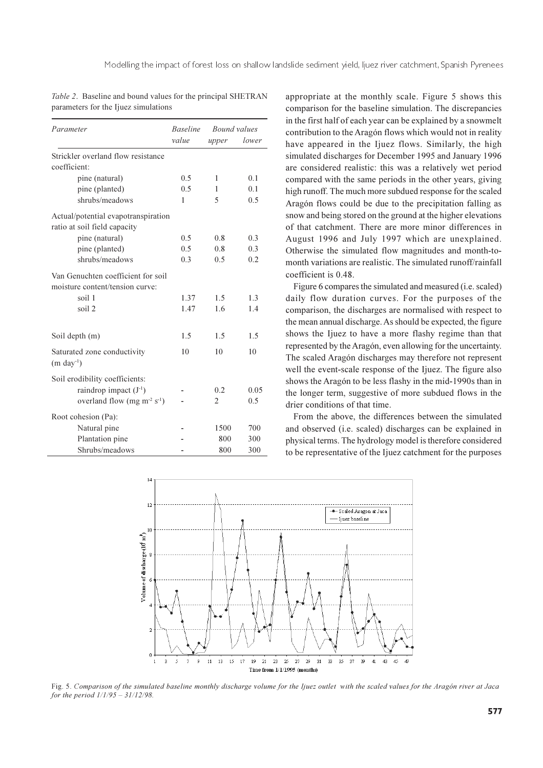| <i>Table 2.</i> Baseline and bound values for the principal SHETRAN |  |
|---------------------------------------------------------------------|--|
| parameters for the I juez simulations                               |  |

| Parameter                           | <b>Baseline</b> | <b>Bound</b> values |       |
|-------------------------------------|-----------------|---------------------|-------|
|                                     | value           | upper               | lower |
| Strickler overland flow resistance  |                 |                     |       |
| coefficient:                        |                 |                     |       |
| pine (natural)                      | 0.5             | 1                   | 0.1   |
| pine (planted)                      | 0.5             | 1                   | 0.1   |
| shrubs/meadows                      | 1               | $\overline{5}$      | 0.5   |
| Actual/potential evapotranspiration |                 |                     |       |
| ratio at soil field capacity        |                 |                     |       |
| pine (natural)                      | 0.5             | 0.8                 | 0.3   |
| pine (planted)                      | 0.5             | 0.8                 | 0.3   |
| shrubs/meadows                      | 0.3             | 0.5                 | 0.2   |
| Van Genuchten coefficient for soil  |                 |                     |       |
| moisture content/tension curve:     |                 |                     |       |
| soil 1                              | 1.37            | 1.5                 | 1.3   |
| soil 2                              | 1.47            | 1.6                 | 1.4   |
|                                     |                 |                     |       |
| Soil depth (m)                      | 1.5             | 1.5                 | 1.5   |
| Saturated zone conductivity         | 10              | 10                  | 10    |
| $(m day-1)$                         |                 |                     |       |
| Soil erodibility coefficients:      |                 |                     |       |
| raindrop impact (J-1)               |                 | 0.2                 | 0.05  |
| overland flow (mg $m-2 s-1$ )       |                 | $\overline{2}$      | 0.5   |
| Root cohesion (Pa):                 |                 |                     |       |
| Natural pine                        |                 | 1500                | 700   |
| Plantation pine                     |                 | 800                 | 300   |
| Shrubs/meadows                      |                 | 800                 | 300   |

appropriate at the monthly scale. Figure 5 shows this comparison for the baseline simulation. The discrepancies in the first half of each year can be explained by a snowmelt contribution to the Aragón flows which would not in reality have appeared in the Ijuez flows. Similarly, the high simulated discharges for December 1995 and January 1996 are considered realistic: this was a relatively wet period compared with the same periods in the other years, giving high runoff. The much more subdued response for the scaled Aragón flows could be due to the precipitation falling as snow and being stored on the ground at the higher elevations of that catchment. There are more minor differences in August 1996 and July 1997 which are unexplained. Otherwise the simulated flow magnitudes and month-tomonth variations are realistic. The simulated runoff/rainfall coefficient is 0.48.

Figure 6 compares the simulated and measured (*i.e.* scaled) daily flow duration curves. For the purposes of the comparison, the discharges are normalised with respect to the mean annual discharge. As should be expected, the figure shows the Ijuez to have a more flashy regime than that represented by the Aragón, even allowing for the uncertainty. The scaled Aragón discharges may therefore not represent well the event-scale response of the Ijuez. The figure also shows the Aragón to be less flashy in the mid-1990s than in the longer term, suggestive of more subdued flows in the drier conditions of that time.

From the above, the differences between the simulated and observed (i.e. scaled) discharges can be explained in physical terms. The hydrology model is therefore considered to be representative of the Ijuez catchment for the purposes



Fig. 5. Comparison of the simulated baseline monthly discharge volume for the liuez outlet with the scaled values for the Aragón river at Jaca for the period  $1/1/95 - 31/12/98$ .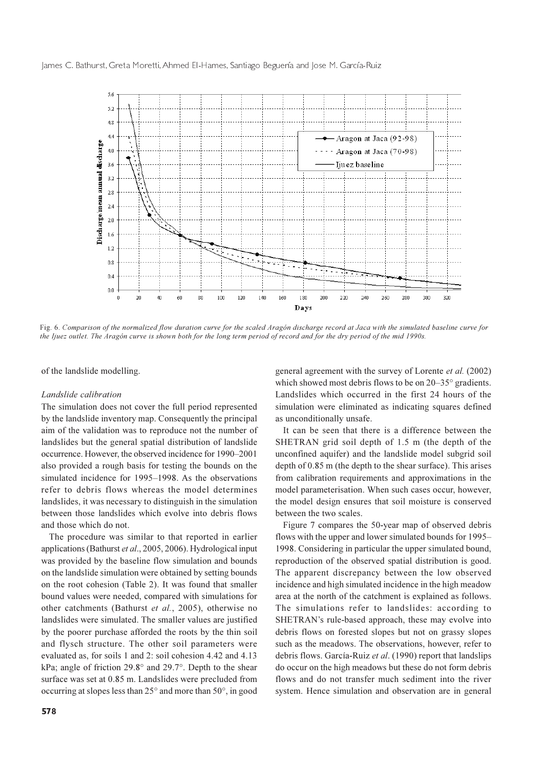

Fig. 6. Comparison of the normalized flow duration curve for the scaled Aragón discharge record at Jaca with the simulated baseline curve for the Ijuez outlet. The Aragón curve is shown both for the long term period of record and for the dry period of the mid 1990s.

of the landslide modelling.

### Landslide calibration

The simulation does not cover the full period represented by the landslide inventory map. Consequently the principal aim of the validation was to reproduce not the number of landslides but the general spatial distribution of landslide occurrence. However, the observed incidence for 1990-2001 also provided a rough basis for testing the bounds on the simulated incidence for 1995–1998. As the observations refer to debris flows whereas the model determines landslides, it was necessary to distinguish in the simulation between those landslides which evolve into debris flows and those which do not.

The procedure was similar to that reported in earlier applications (Bathurst et al., 2005, 2006). Hydrological input was provided by the baseline flow simulation and bounds on the landslide simulation were obtained by setting bounds on the root cohesion (Table 2). It was found that smaller bound values were needed, compared with simulations for other catchments (Bathurst et al., 2005), otherwise no landslides were simulated. The smaller values are justified by the poorer purchase afforded the roots by the thin soil and flysch structure. The other soil parameters were evaluated as, for soils 1 and 2: soil cohesion 4.42 and 4.13 kPa; angle of friction 29.8 $^{\circ}$  and 29.7 $^{\circ}$ . Depth to the shear surface was set at 0.85 m. Landslides were precluded from occurring at slopes less than  $25^{\circ}$  and more than  $50^{\circ}$ , in good general agreement with the survey of Lorente et al. (2002) which showed most debris flows to be on  $20-35^{\circ}$  gradients. Landslides which occurred in the first 24 hours of the simulation were eliminated as indicating squares defined as unconditionally unsafe.

It can be seen that there is a difference between the SHETRAN grid soil depth of 1.5 m (the depth of the unconfined aquifer) and the landslide model subgrid soil depth of 0.85 m (the depth to the shear surface). This arises from calibration requirements and approximations in the model parameterisation. When such cases occur, however, the model design ensures that soil moisture is conserved between the two scales.

Figure 7 compares the 50-year map of observed debris flows with the upper and lower simulated bounds for 1995– 1998. Considering in particular the upper simulated bound, reproduction of the observed spatial distribution is good. The apparent discrepancy between the low observed incidence and high simulated incidence in the high meadow area at the north of the catchment is explained as follows. The simulations refer to landslides: according to SHETRAN's rule-based approach, these may evolve into debris flows on forested slopes but not on grassy slopes such as the meadows. The observations, however, refer to debris flows. García-Ruiz et al. (1990) report that landslips do occur on the high meadows but these do not form debris flows and do not transfer much sediment into the river system. Hence simulation and observation are in general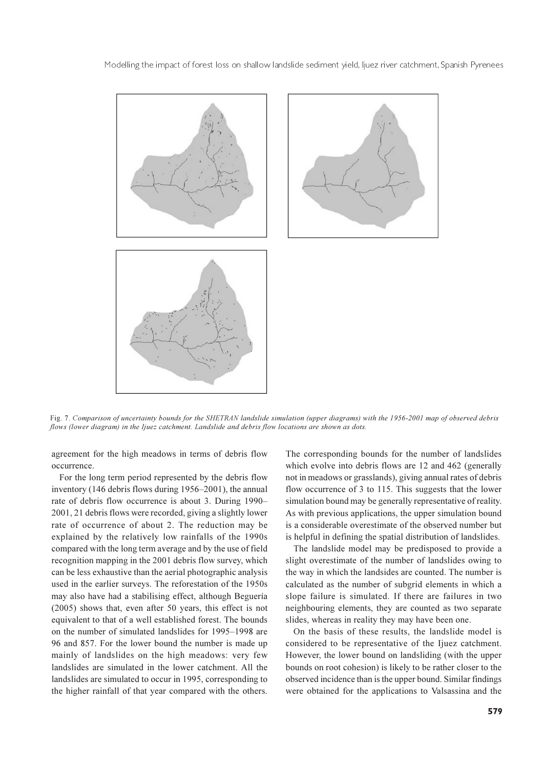

Modelling the impact of forest loss on shallow landslide sediment yield, ljuez river catchment, Spanish Pyrenees

Fig. 7. Comparison of uncertainty bounds for the SHETRAN landslide simulation (upper diagrams) with the 1956-2001 map of observed debris flows (lower diagram) in the Ijuez catchment. Landslide and debris flow locations are shown as dots.

agreement for the high meadows in terms of debris flow occurrence.

For the long term period represented by the debris flow inventory (146 debris flows during 1956–2001), the annual rate of debris flow occurrence is about 3. During 1990– 2001, 21 debris flows were recorded, giving a slightly lower rate of occurrence of about 2. The reduction may be explained by the relatively low rainfalls of the 1990s compared with the long term average and by the use of field recognition mapping in the 2001 debris flow survey, which can be less exhaustive than the aerial photographic analysis used in the earlier surveys. The reforestation of the 1950s may also have had a stabilising effect, although Beguería (2005) shows that, even after 50 years, this effect is not equivalent to that of a well established forest. The bounds on the number of simulated landslides for 1995–1998 are 96 and 857. For the lower bound the number is made up mainly of landslides on the high meadows: very few landslides are simulated in the lower catchment. All the landslides are simulated to occur in 1995, corresponding to the higher rainfall of that year compared with the others.

The corresponding bounds for the number of landslides which evolve into debris flows are 12 and 462 (generally not in meadows or grasslands), giving annual rates of debris flow occurrence of 3 to 115. This suggests that the lower simulation bound may be generally representative of reality. As with previous applications, the upper simulation bound is a considerable overestimate of the observed number but is helpful in defining the spatial distribution of landslides.

The landslide model may be predisposed to provide a slight overestimate of the number of landslides owing to the way in which the landsides are counted. The number is calculated as the number of subgrid elements in which a slope failure is simulated. If there are failures in two neighbouring elements, they are counted as two separate slides, whereas in reality they may have been one.

On the basis of these results, the landslide model is considered to be representative of the Ijuez catchment. However, the lower bound on landsliding (with the upper bounds on root cohesion) is likely to be rather closer to the observed incidence than is the upper bound. Similar findings were obtained for the applications to Valsassina and the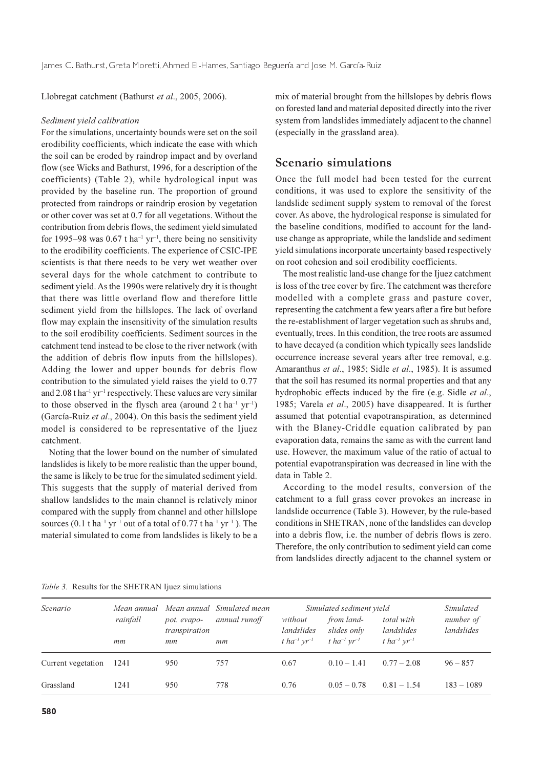Llobregat catchment (Bathurst et al., 2005, 2006).

#### Sediment vield calibration

For the simulations, uncertainty bounds were set on the soil erodibility coefficients, which indicate the ease with which the soil can be eroded by raindrop impact and by overland flow (see Wicks and Bathurst, 1996, for a description of the coefficients) (Table 2), while hydrological input was provided by the baseline run. The proportion of ground protected from raindrops or raindrip erosion by vegetation or other cover was set at 0.7 for all vegetations. Without the contribution from debris flows, the sediment yield simulated for 1995–98 was  $0.67$  t ha<sup>-1</sup> yr<sup>-1</sup>, there being no sensitivity to the erodibility coefficients. The experience of CSIC-IPE scientists is that there needs to be very wet weather over several days for the whole catchment to contribute to sediment vield. As the 1990s were relatively dry it is thought that there was little overland flow and therefore little sediment yield from the hillslopes. The lack of overland flow may explain the insensitivity of the simulation results to the soil erodibility coefficients. Sediment sources in the catchment tend instead to be close to the river network (with the addition of debris flow inputs from the hillslopes). Adding the lower and upper bounds for debris flow contribution to the simulated yield raises the yield to 0.77 and 2.08 tha<sup>-1</sup> yr<sup>-1</sup> respectively. These values are very similar to those observed in the flysch area (around 2 t ha<sup>-1</sup> yr<sup>-1</sup>) (García-Ruiz et al., 2004). On this basis the sediment yield model is considered to be representative of the Ijuez catchment.

Noting that the lower bound on the number of simulated landslides is likely to be more realistic than the upper bound, the same is likely to be true for the simulated sediment yield. This suggests that the supply of material derived from shallow landslides to the main channel is relatively minor compared with the supply from channel and other hillslope sources (0.1 t ha<sup>-1</sup> yr<sup>-1</sup> out of a total of 0.77 t ha<sup>-1</sup> yr<sup>-1</sup>). The material simulated to come from landslides is likely to be a

mix of material brought from the hillslopes by debris flows on forested land and material deposited directly into the river system from landslides immediately adjacent to the channel (especially in the grassland area).

### Scenario simulations

Once the full model had been tested for the current conditions, it was used to explore the sensitivity of the landslide sediment supply system to removal of the forest cover. As above, the hydrological response is simulated for the baseline conditions, modified to account for the landuse change as appropriate, while the landslide and sediment yield simulations incorporate uncertainty based respectively on root cohesion and soil erodibility coefficients.

The most realistic land-use change for the Ijuez catchment is loss of the tree cover by fire. The catchment was therefore modelled with a complete grass and pasture cover, representing the catchment a few years after a fire but before the re-establishment of larger vegetation such as shrubs and, eventually, trees. In this condition, the tree roots are assumed to have decayed (a condition which typically sees landslide occurrence increase several years after tree removal, e.g. Amaranthus et al., 1985; Sidle et al., 1985). It is assumed that the soil has resumed its normal properties and that any hydrophobic effects induced by the fire (e.g. Sidle et al., 1985; Varela et al., 2005) have disappeared. It is further assumed that potential evapotranspiration, as determined with the Blaney-Criddle equation calibrated by pan evaporation data, remains the same as with the current land use. However, the maximum value of the ratio of actual to potential evapotranspiration was decreased in line with the data in Table 2.

According to the model results, conversion of the catchment to a full grass cover provokes an increase in landslide occurrence (Table 3). However, by the rule-based conditions in SHETRAN, none of the landslides can develop into a debris flow, i.e. the number of debris flows is zero. Therefore, the only contribution to sediment yield can come from landslides directly adjacent to the channel system or

|  |  | <i>Table 3.</i> Results for the SHETRAN I juez simulations |
|--|--|------------------------------------------------------------|
|  |  |                                                            |

| Scenario           |                |                                    | Mean annual Mean annual Simulated mean | Simulated sediment yield                              |                                                           | <i>Simulated</i>                                         |                         |
|--------------------|----------------|------------------------------------|----------------------------------------|-------------------------------------------------------|-----------------------------------------------------------|----------------------------------------------------------|-------------------------|
|                    | rainfall<br>mm | pot. evapo-<br>transpiration<br>mm | annual runoff<br>mm                    | without<br>landslides<br>t ha <sup>-1</sup> $vr^{-1}$ | from land-<br>slides only<br>t ha <sup>-1</sup> $vr^{-1}$ | total with<br>landslides<br>t ha <sup>-1</sup> $vr^{-1}$ | number of<br>landslides |
| Current vegetation | 1241           | 950                                | 757                                    | 0.67                                                  | $0.10 - 1.41$                                             | $0.77 - 2.08$                                            | $96 - 857$              |
| Grassland          | 1241           | 950                                | 778                                    | 0.76                                                  | $0.05 - 0.78$                                             | $0.81 - 1.54$                                            | $183 - 1089$            |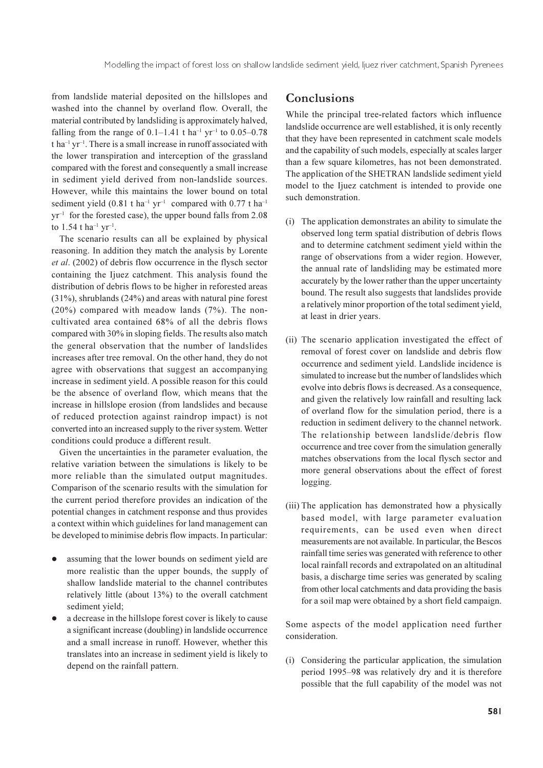from landslide material deposited on the hillslopes and washed into the channel by overland flow. Overall, the material contributed by landsliding is approximately halved, falling from the range of 0.1–1.41 t ha<sup>-1</sup> yr<sup>-1</sup> to 0.05–0.78 t ha<sup>-1</sup> yr<sup>-1</sup>. There is a small increase in runoff associated with the lower transpiration and interception of the grassland compared with the forest and consequently a small increase in sediment vield derived from non-landslide sources. However, while this maintains the lower bound on total sediment yield  $(0.81 \text{ t} \text{ ha}^{-1} \text{ yr}^{-1}$  compared with 0.77 t ha<sup>-1</sup>  $yr^{-1}$  for the forested case), the upper bound falls from 2.08 to 1.54 t ha<sup>-1</sup> yr<sup>-1</sup>.

The scenario results can all be explained by physical reasoning. In addition they match the analysis by Lorente et al. (2002) of debris flow occurrence in the flysch sector containing the Ijuez catchment. This analysis found the distribution of debris flows to be higher in reforested areas  $(31\%)$ , shrublands  $(24\%)$  and areas with natural pine forest  $(20\%)$  compared with meadow lands  $(7\%)$ . The noncultivated area contained 68% of all the debris flows compared with 30% in sloping fields. The results also match the general observation that the number of landslides increases after tree removal. On the other hand, they do not agree with observations that suggest an accompanying increase in sediment yield. A possible reason for this could be the absence of overland flow, which means that the increase in hillslope erosion (from landslides and because of reduced protection against raindrop impact) is not converted into an increased supply to the river system. Wetter conditions could produce a different result.

Given the uncertainties in the parameter evaluation, the relative variation between the simulations is likely to be more reliable than the simulated output magnitudes. Comparison of the scenario results with the simulation for the current period therefore provides an indication of the potential changes in catchment response and thus provides a context within which guidelines for land management can be developed to minimise debris flow impacts. In particular:

- assuming that the lower bounds on sediment yield are more realistic than the upper bounds, the supply of shallow landslide material to the channel contributes relatively little (about 13%) to the overall catchment sediment vield:
- a decrease in the hillslope forest cover is likely to cause a significant increase (doubling) in landslide occurrence and a small increase in runoff. However, whether this translates into an increase in sediment yield is likely to depend on the rainfall pattern.

# Conclusions

While the principal tree-related factors which influence landslide occurrence are well established, it is only recently that they have been represented in catchment scale models and the capability of such models, especially at scales larger than a few square kilometres, has not been demonstrated. The application of the SHETRAN landslide sediment yield model to the Ijuez catchment is intended to provide one such demonstration.

- (i) The application demonstrates an ability to simulate the observed long term spatial distribution of debris flows and to determine catchment sediment yield within the range of observations from a wider region. However, the annual rate of landsliding may be estimated more accurately by the lower rather than the upper uncertainty bound. The result also suggests that landslides provide a relatively minor proportion of the total sediment yield, at least in drier years.
- (ii) The scenario application investigated the effect of removal of forest cover on landslide and debris flow occurrence and sediment yield. Landslide incidence is simulated to increase but the number of landslides which evolve into debris flows is decreased. As a consequence, and given the relatively low rainfall and resulting lack of overland flow for the simulation period, there is a reduction in sediment delivery to the channel network. The relationship between landslide/debris flow occurrence and tree cover from the simulation generally matches observations from the local flysch sector and more general observations about the effect of forest logging.
- (iii) The application has demonstrated how a physically based model, with large parameter evaluation requirements, can be used even when direct measurements are not available. In particular, the Bescos rainfall time series was generated with reference to other local rainfall records and extrapolated on an altitudinal basis, a discharge time series was generated by scaling from other local catchments and data providing the basis for a soil map were obtained by a short field campaign.

Some aspects of the model application need further consideration.

(i) Considering the particular application, the simulation period 1995–98 was relatively dry and it is therefore possible that the full capability of the model was not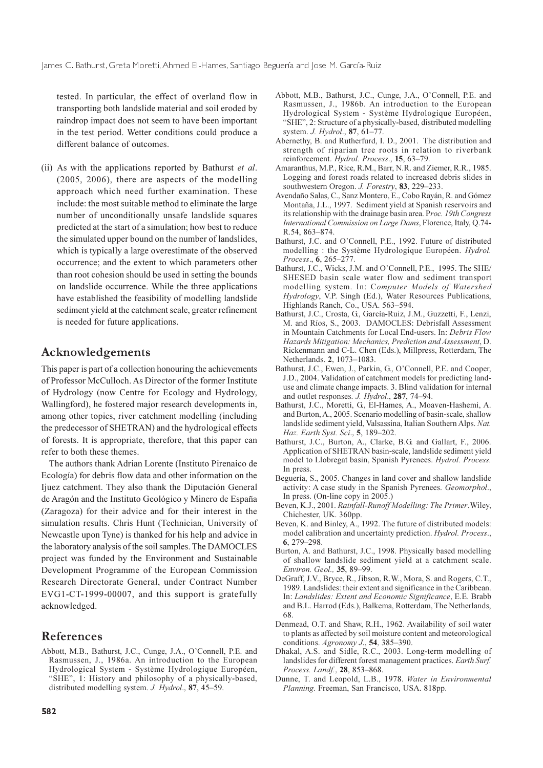tested. In particular, the effect of overland flow in transporting both landslide material and soil eroded by raindrop impact does not seem to have been important in the test period. Wetter conditions could produce a different balance of outcomes.

(ii) As with the applications reported by Bathurst et al.  $(2005, 2006)$ , there are aspects of the modelling approach which need further examination. These include: the most suitable method to eliminate the large number of unconditionally unsafe landslide squares predicted at the start of a simulation; how best to reduce the simulated upper bound on the number of landslides, which is typically a large overestimate of the observed occurrence; and the extent to which parameters other than root cohesion should be used in setting the bounds on landslide occurrence. While the three applications have established the feasibility of modelling landslide sediment yield at the catchment scale, greater refinement is needed for future applications.

## Acknowledgements

This paper is part of a collection honouring the achievements of Professor McCulloch. As Director of the former Institute of Hydrology (now Centre for Ecology and Hydrology, Wallingford), he fostered major research developments in, among other topics, river catchment modelling (including) the predecessor of SHETRAN) and the hydrological effects of forests. It is appropriate, therefore, that this paper can refer to both these themes.

The authors thank Adrian Lorente (Instituto Pirenaico de Ecología) for debris flow data and other information on the Ijuez catchment. They also thank the Diputación General de Aragón and the Instituto Geológico y Minero de España (Zaragoza) for their advice and for their interest in the simulation results. Chris Hunt (Technician, University of Newcastle upon Tyne) is thanked for his help and advice in the laboratory analysis of the soil samples. The DAMOCLES project was funded by the Environment and Sustainable Development Programme of the European Commission Research Directorate General, under Contract Number EVG1-CT-1999-00007, and this support is gratefully acknowledged.

# **References**

Abbott, M.B., Bathurst, J.C., Cunge, J.A., O'Connell, P.E. and Rasmussen, J., 1986a. An introduction to the European Hydrological System - Système Hydrologique Européen, "SHE", I: History and philosophy of a physically-based, distributed modelling system. J. Hydrol., 87, 45–59.

- Abbott, M.B., Bathurst, J.C., Cunge, J.A., O'Connell, P.E. and Rasmussen, J., 1986b. An introduction to the European Hydrological System - Système Hydrologique Européen, "SHE", 2: Structure of a physically-based, distributed modelling system. J. Hydrol., 87, 61-77.
- Abernethy, B. and Rutherfurd, I. D., 2001. The distribution and strength of riparian tree roots in relation to riverbank reinforcement. Hydrol. Process., 15, 63-79.
- Amaranthus, M.P., Rice, R.M., Barr, N.R. and Ziemer, R.R., 1985. Logging and forest roads related to increased debris slides in southwestern Oregon. J. Forestry, 83, 229-233.
- Avendaño Salas, C., Sanz Montero, E., Cobo Rayán, R. and Gómez Montaña, J.L., 1997. Sediment yield at Spanish reservoirs and its relationship with the drainage basin area. Proc. 19th Congress International Commission on Large Dams, Florence, Italy, Q.74-R.54, 863-874.
- Bathurst, J.C. and O'Connell, P.E., 1992. Future of distributed modelling : the Système Hydrologique Européen. Hydrol. Process., 6, 265-277.
- Bathurst, J.C., Wicks, J.M. and O'Connell, P.E., 1995. The SHE/ SHESED basin scale water flow and sediment transport modelling system. In: Computer Models of Watershed Hydrology, V.P. Singh (Ed.), Water Resources Publications, Highlands Ranch, Co., USA. 563-594.
- Bathurst, J.C., Crosta, G., García-Ruiz, J.M., Guzzetti, F., Lenzi, M. and Ríos, S., 2003. DAMOCLES: Debrisfall Assessment in Mountain Catchments for Local End-users. In: Debris Flow Hazards Mitigation: Mechanics, Prediction and Assessment, D. Rickenmann and C-L. Chen (Eds.), Millpress, Rotterdam, The Netherlands. 2, 1073-1083.
- Bathurst, J.C., Ewen, J., Parkin, G., O'Connell, P.E. and Cooper, J.D., 2004. Validation of catchment models for predicting landuse and climate change impacts. 3. Blind validation for internal and outlet responses. J. Hydrol., 287, 74–94.
- Bathurst, J.C., Moretti, G., El-Hames, A., Moaven-Hashemi, A. and Burton, A., 2005. Scenario modelling of basin-scale, shallow landslide sediment yield, Valsassina, Italian Southern Alps. Nat. Haz. Earth Syst. Sci., 5, 189-202.
- Bathurst, J.C., Burton, A., Clarke, B.G. and Gallart, F., 2006. Application of SHETRAN basin-scale, landslide sediment yield model to Llobregat basin, Spanish Pyrenees. Hydrol. Process. In press.
- Beguería, S., 2005. Changes in land cover and shallow landslide activity: A case study in the Spanish Pyrenees. Geomorphol., In press. (On-line copy in  $2005$ .)
- Beven, K.J., 2001. Rainfall-Runoff Modelling: The Primer. Wiley, Chichester, UK. 360pp.
- Beven, K. and Binley, A., 1992. The future of distributed models: model calibration and uncertainty prediction. Hydrol. Process.,  $6, 279 - 298.$
- Burton, A. and Bathurst, J.C., 1998. Physically based modelling of shallow landslide sediment yield at a catchment scale. Environ. Geol., 35, 89-99.
- DeGraff, J.V., Bryce, R., Jibson, R.W., Mora, S. and Rogers, C.T., 1989. Landslides: their extent and significance in the Caribbean. In: Landslides: Extent and Economic Significance, E.E. Brabb and B.L. Harrod (Eds.), Balkema, Rotterdam, The Netherlands, 68.
- Denmead, O.T. and Shaw, R.H., 1962. Availability of soil water to plants as affected by soil moisture content and meteorological conditions. Agronomy J., 54, 385–390.
- Dhakal, A.S. and Sidle, R.C., 2003. Long-term modelling of landslides for different forest management practices. Earth Surf. Process. Landf., 28, 853-868.
- Dunne, T. and Leopold, L.B., 1978. Water in Environmental Planning. Freeman, San Francisco, USA. 818pp.